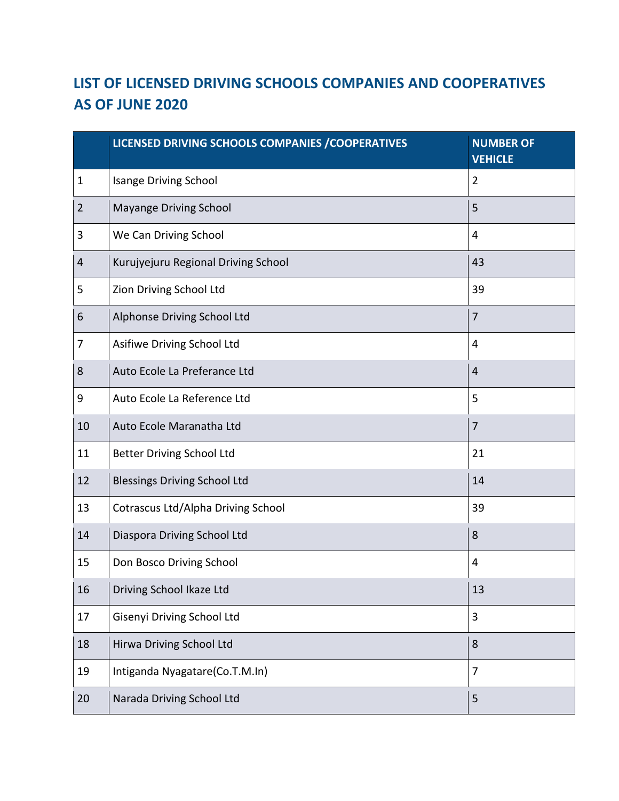## **LIST OF LICENSED DRIVING SCHOOLS COMPANIES AND COOPERATIVES AS OF JUNE 2020**

|                  | LICENSED DRIVING SCHOOLS COMPANIES / COOPERATIVES | <b>NUMBER OF</b><br><b>VEHICLE</b> |
|------------------|---------------------------------------------------|------------------------------------|
| $\mathbf{1}$     | <b>Isange Driving School</b>                      | $\overline{2}$                     |
| $\overline{2}$   | Mayange Driving School                            | 5                                  |
| 3                | We Can Driving School                             | 4                                  |
| 4                | Kurujyejuru Regional Driving School               | 43                                 |
| 5                | Zion Driving School Ltd                           | 39                                 |
| 6                | Alphonse Driving School Ltd                       | $\overline{7}$                     |
| 7                | Asifiwe Driving School Ltd                        | 4                                  |
| $\bf 8$          | Auto Ecole La Preferance Ltd                      | $\overline{4}$                     |
| $\boldsymbol{9}$ | Auto Ecole La Reference Ltd                       | 5                                  |
| 10               | Auto Ecole Maranatha Ltd                          | $\overline{7}$                     |
| 11               | <b>Better Driving School Ltd</b>                  | 21                                 |
| 12               | <b>Blessings Driving School Ltd</b>               | 14                                 |
| 13               | <b>Cotrascus Ltd/Alpha Driving School</b>         | 39                                 |
| 14               | Diaspora Driving School Ltd                       | 8                                  |
| 15               | Don Bosco Driving School                          | $\overline{4}$                     |
| 16               | Driving School Ikaze Ltd                          | 13                                 |
| 17               | Gisenyi Driving School Ltd                        | 3                                  |
| 18               | Hirwa Driving School Ltd                          | 8                                  |
| 19               | Intiganda Nyagatare(Co.T.M.In)                    | $\overline{7}$                     |
| 20               | Narada Driving School Ltd                         | 5                                  |